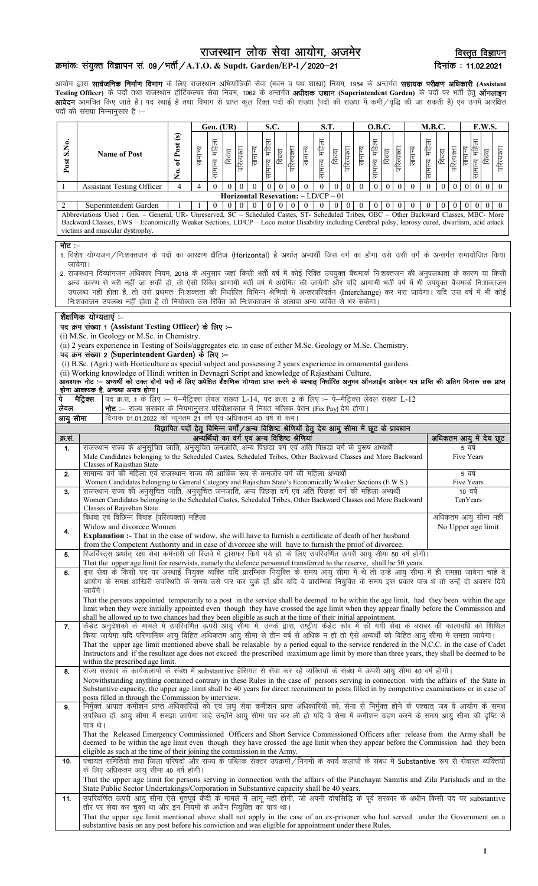# राजस्थान लोक सेवा आयोग, अजमेर

विस्तृत विज्ञापन दिनांक: 11.02.2021

## क्रमांकः संयुक्त विज्ञापन सं. 09/भर्ती/A.T.O. & Supdt. Garden/EP-I/2020-21

आयोग द्वारा **सार्वजनिक निर्माण विभाग** के लिए राजस्थान अभियांत्रिकी सेवा (भवन व पथ शाखा) नियम, 1954 के अन्तर्गत **सहायक परीक्षण अधिकारी (Assistant**<br>Te**sting Officer)** के पदों तथा राजस्थान हॉर्टिकल्चर सेवा नियम, 1962 के अन्त

|                                                                                                                                                                                                                                                                                                                                    |                                                                                                                                                                                                                                                                                             |                                                                                                                                                                                                                                                                                        |                                                                                                   | Gen. (UR)      |                                                |          | S.C.       |              |                |              | S.T.           |                  |                                                     | <b>O.B.C.</b>  |                  |                | <b>M.B.C.</b> |                      |          |               | E.W.S.                     |                                  |          |            |
|------------------------------------------------------------------------------------------------------------------------------------------------------------------------------------------------------------------------------------------------------------------------------------------------------------------------------------|---------------------------------------------------------------------------------------------------------------------------------------------------------------------------------------------------------------------------------------------------------------------------------------------|----------------------------------------------------------------------------------------------------------------------------------------------------------------------------------------------------------------------------------------------------------------------------------------|---------------------------------------------------------------------------------------------------|----------------|------------------------------------------------|----------|------------|--------------|----------------|--------------|----------------|------------------|-----------------------------------------------------|----------------|------------------|----------------|---------------|----------------------|----------|---------------|----------------------------|----------------------------------|----------|------------|
| Post S.No.                                                                                                                                                                                                                                                                                                                         |                                                                                                                                                                                                                                                                                             | <b>Name of Post</b>                                                                                                                                                                                                                                                                    | No. of Post (s)                                                                                   | सामान्य        | सामान्य महिला                                  | विधवा    | परित्यक्ता | सामान्य      | सामान्य महिला  | विधवा        | परित्यक्ता     | सामान्य          | सामान्य महिला                                       | विधवा          | परित्यक्ता       | सामान्य        | सामान्य महिला | परित्यक्ता<br>विधवा  | सामान्य  | सामान्य महिला | परित्यक्ता<br>विधवा        | सामान्य महिला<br>सामान्य         | विधवा    | परित्यक्ता |
|                                                                                                                                                                                                                                                                                                                                    |                                                                                                                                                                                                                                                                                             | <b>Assistant Testing Officer</b>                                                                                                                                                                                                                                                       | $\overline{4}$                                                                                    | $\overline{4}$ | $\theta$                                       | $\theta$ | $\theta$   | $\theta$     | $\overline{0}$ | $\theta$     | $\theta$       | $\mathbf{0}$     | $\mathbf{0}$                                        | $\overline{0}$ | $\mathbf{0}$     | $\mathbf{0}$   | $\mathbf{0}$  | $\theta$<br>$\theta$ | $\theta$ | $\theta$      | $\overline{0}$<br>$\theta$ | $\theta$<br>$\theta$             | $\theta$ | $\theta$   |
| 2                                                                                                                                                                                                                                                                                                                                  |                                                                                                                                                                                                                                                                                             | Superintendent Garden                                                                                                                                                                                                                                                                  |                                                                                                   |                | $\mathbf{0}$                                   | $\theta$ | $\theta$   | $\mathbf{0}$ |                | $\mathbf{0}$ | $\overline{0}$ | $\boldsymbol{0}$ | Horizontal Resevation: - LD/CP - 01<br>$\mathbf{0}$ | $\overline{0}$ | $\boldsymbol{0}$ | $\overline{0}$ |               | 0                    |          |               |                            |                                  |          | $\theta$   |
| Abbreviations Used : Gen. - General, UR- Unreserved, SC - Scheduled Castes, ST- Scheduled Tribes, OBC - Other Backward Classes, MBC- More<br>Backward Classes, EWS - Economically Weaker Sections, LD/CP - Loco motor Disability including Cerebral palsy, leprosy cured, dwarfism, acid attack<br>victims and muscular dystrophy. |                                                                                                                                                                                                                                                                                             |                                                                                                                                                                                                                                                                                        |                                                                                                   |                |                                                |          |            |              |                |              |                |                  |                                                     |                |                  |                |               |                      |          |               |                            |                                  |          |            |
| नोट :–                                                                                                                                                                                                                                                                                                                             |                                                                                                                                                                                                                                                                                             |                                                                                                                                                                                                                                                                                        |                                                                                                   |                |                                                |          |            |              |                |              |                |                  |                                                     |                |                  |                |               |                      |          |               |                            |                                  |          |            |
| 1. विशेष योग्यजन /निःशक्तजन के पदों का आरक्षण क्षैतिज (Horizontal) है अर्थात् अभ्यर्थी जिस वर्ग का होगा उसे उसी वर्ग के अन्तर्गत समायोजित किया<br>जायेगा।                                                                                                                                                                          |                                                                                                                                                                                                                                                                                             |                                                                                                                                                                                                                                                                                        |                                                                                                   |                |                                                |          |            |              |                |              |                |                  |                                                     |                |                  |                |               |                      |          |               |                            |                                  |          |            |
| 2. राजस्थान दिव्यांगजन अधिकार नियम, 2018 के अनुसार जहां किसी भर्ती वर्ष में कोई रिक्ति उपयुक्त बैंचमार्क निःशक्तजन की अनुपलब्धता के कारण या किसी<br>अन्य कारण से भरी नहीं जा सकी हो, तो ऐसी रिक्ति आगामी भर्ती वर्ष में अग्रेषित की जायेगी और यदि आगामी भर्ती वर्ष में भी उपयुक्त बैंचमार्क निःशक्तजन                              |                                                                                                                                                                                                                                                                                             |                                                                                                                                                                                                                                                                                        |                                                                                                   |                |                                                |          |            |              |                |              |                |                  |                                                     |                |                  |                |               |                      |          |               |                            |                                  |          |            |
| उपलब्ध नहीं होता है, तो उसे प्रथमतः निःशक्तता की निर्धारित विभिन्न श्रेणियों में अन्तरपरिवर्तन (Interchange) कर भरा जायेगा। यदि उस वर्ष में भी कोई<br>निःशक्तजन उपलब्ध नहीं होता है तो नियोक्ता उस रिक्ति को निःशक्तजन के अलावा अन्य व्यक्ति से भर सकेगा।                                                                          |                                                                                                                                                                                                                                                                                             |                                                                                                                                                                                                                                                                                        |                                                                                                   |                |                                                |          |            |              |                |              |                |                  |                                                     |                |                  |                |               |                      |          |               |                            |                                  |          |            |
|                                                                                                                                                                                                                                                                                                                                    | शैक्षणिक योग्यताएं :--                                                                                                                                                                                                                                                                      |                                                                                                                                                                                                                                                                                        |                                                                                                   |                |                                                |          |            |              |                |              |                |                  |                                                     |                |                  |                |               |                      |          |               |                            |                                  |          |            |
|                                                                                                                                                                                                                                                                                                                                    |                                                                                                                                                                                                                                                                                             | पद क्रम संख्या 1 (Assistant Testing Officer) के लिए :-<br>(i) M.Sc. in Geology or M.Sc. in Chemistry.                                                                                                                                                                                  |                                                                                                   |                |                                                |          |            |              |                |              |                |                  |                                                     |                |                  |                |               |                      |          |               |                            |                                  |          |            |
|                                                                                                                                                                                                                                                                                                                                    |                                                                                                                                                                                                                                                                                             | (ii) 2 years experience in Testing of Soils/aggregates etc. in case of either M.Sc. Geology or M.Sc. Chemistry.                                                                                                                                                                        |                                                                                                   |                |                                                |          |            |              |                |              |                |                  |                                                     |                |                  |                |               |                      |          |               |                            |                                  |          |            |
|                                                                                                                                                                                                                                                                                                                                    |                                                                                                                                                                                                                                                                                             | पद क्रम संख्या 2 (Superintendent Garden) के लिए :-                                                                                                                                                                                                                                     |                                                                                                   |                |                                                |          |            |              |                |              |                |                  |                                                     |                |                  |                |               |                      |          |               |                            |                                  |          |            |
| (i) B.Sc. (Agri.) with Horticulture as special subject and possessing 2 years experience in ornamental gardens.<br>(ii) Working knowledge of Hindi written in Devnagri Script and knowledge of Rajasthani Culture.                                                                                                                 |                                                                                                                                                                                                                                                                                             |                                                                                                                                                                                                                                                                                        |                                                                                                   |                |                                                |          |            |              |                |              |                |                  |                                                     |                |                  |                |               |                      |          |               |                            |                                  |          |            |
| आवश्यक नोट :-- अभ्यर्थी को उक्त दोनों पदों के लिए अपेक्षित शैक्षणिक योग्यता प्राप्त करने के पश्चात् निर्धारित अनुभव ऑनलाईन आवेदन पत्र प्राप्ति की अंतिम दिनांक तक प्राप्त<br>होना आवश्यक है, अन्यथा अपात्र होगा।                                                                                                                   |                                                                                                                                                                                                                                                                                             |                                                                                                                                                                                                                                                                                        |                                                                                                   |                |                                                |          |            |              |                |              |                |                  |                                                     |                |                  |                |               |                      |          |               |                            |                                  |          |            |
| पे                                                                                                                                                                                                                                                                                                                                 | मैट्रिक्स                                                                                                                                                                                                                                                                                   | पद क्र.स. 1 के लिए :– पे-मैट्रिक्स लेवल संख्या L-14, पद क्र.स. 2 के लिए :– पे-मैट्रिक्स लेवल संख्या L-12                                                                                                                                                                               |                                                                                                   |                |                                                |          |            |              |                |              |                |                  |                                                     |                |                  |                |               |                      |          |               |                            |                                  |          |            |
|                                                                                                                                                                                                                                                                                                                                    | लेवल<br><b>नोट:</b> – राज्य सरकार के नियमानुसार परिवीक्षाकाल में नियत मासिक वेतन (Fix Pay) देय होगा।<br>दिनांक 01.01.2022 को न्यूनतम 21 वर्ष एवं अधिकतम 40 वर्ष से कम।<br>आयु सीमा                                                                                                          |                                                                                                                                                                                                                                                                                        |                                                                                                   |                |                                                |          |            |              |                |              |                |                  |                                                     |                |                  |                |               |                      |          |               |                            |                                  |          |            |
|                                                                                                                                                                                                                                                                                                                                    |                                                                                                                                                                                                                                                                                             |                                                                                                                                                                                                                                                                                        | विज्ञापित पदों हेतू विभिन्न वर्गों / अन्य विशिष्ट श्रेणियों हेतु देय आयु सीमा में छूट के प्रावधान |                |                                                |          |            |              |                |              |                |                  |                                                     |                |                  |                |               |                      |          |               |                            |                                  |          |            |
| क्र.स.<br>1.                                                                                                                                                                                                                                                                                                                       |                                                                                                                                                                                                                                                                                             | राजस्थान राज्य के अनुसूचित जाति, अनुसूचित जनजाति, अन्य पिछड़ा वर्ग एवं अति पिछड़ा वर्ग के पुरूष अभ्यर्थी                                                                                                                                                                               |                                                                                                   |                | अभ्यर्थियों का वर्ग एवं अन्य विशिष्ट श्रेणियां |          |            |              |                |              |                |                  |                                                     |                |                  |                |               |                      |          |               |                            | अधिकतम आयु में देय छूट<br>5 वर्ष |          |            |
|                                                                                                                                                                                                                                                                                                                                    |                                                                                                                                                                                                                                                                                             | Male Candidates belonging to the Scheduled Castes, Scheduled Tribes, Other Backward Classes and More Backward                                                                                                                                                                          |                                                                                                   |                |                                                |          |            |              |                |              |                |                  |                                                     |                |                  |                |               |                      |          |               |                            | Five Years                       |          |            |
| 2.                                                                                                                                                                                                                                                                                                                                 |                                                                                                                                                                                                                                                                                             | Classes of Rajasthan State<br>सामान्य वर्ग की महिला एवं राजस्थान राज्य की आर्थिक रूप से कमजोर वर्ग की महिला अभ्यर्थी                                                                                                                                                                   |                                                                                                   |                |                                                |          |            |              |                |              |                |                  |                                                     |                |                  |                |               |                      |          |               |                            | 5 वर्ष                           |          |            |
|                                                                                                                                                                                                                                                                                                                                    |                                                                                                                                                                                                                                                                                             | Women Candidates belonging to General Category and Rajasthan State's Economically Weaker Sections (E.W.S.)                                                                                                                                                                             |                                                                                                   |                |                                                |          |            |              |                |              |                |                  |                                                     |                |                  |                |               |                      |          |               |                            | Five Years                       |          |            |
| 3.                                                                                                                                                                                                                                                                                                                                 |                                                                                                                                                                                                                                                                                             | राजस्थान राज्य की अनुसूचित जाति, अनुसूचित जनजाति, अन्य पिछड़ा वर्ग एवं अति पिछड़ा वर्ग की महिला अभ्यर्थी<br>Women Candidates belonging to the Scheduled Castes, Scheduled Tribes, Other Backward Classes and More Backward                                                             |                                                                                                   |                |                                                |          |            |              |                |              |                |                  |                                                     |                |                  |                |               |                      |          |               |                            | 10 वर्ष<br>TenYears              |          |            |
|                                                                                                                                                                                                                                                                                                                                    |                                                                                                                                                                                                                                                                                             | Classes of Rajasthan State<br>विधवा एवं विछिन्न विवाह (परित्यक्ता) महिला                                                                                                                                                                                                               |                                                                                                   |                |                                                |          |            |              |                |              |                |                  |                                                     |                |                  |                |               |                      |          |               |                            | अधिकतम आयु सीमा नहीं             |          |            |
| 4.                                                                                                                                                                                                                                                                                                                                 |                                                                                                                                                                                                                                                                                             | Widow and divorcee Women                                                                                                                                                                                                                                                               |                                                                                                   |                |                                                |          |            |              |                |              |                |                  |                                                     |                |                  |                |               |                      |          |               |                            | No Upper age limit               |          |            |
|                                                                                                                                                                                                                                                                                                                                    |                                                                                                                                                                                                                                                                                             | <b>Explanation :-</b> That in the case of widow, she will have to furnish a certificate of death of her husband<br>from the Competent Authority and in case of divorcee she will have to furnish the proof of divorcee.                                                                |                                                                                                   |                |                                                |          |            |              |                |              |                |                  |                                                     |                |                  |                |               |                      |          |               |                            |                                  |          |            |
| 5.                                                                                                                                                                                                                                                                                                                                 |                                                                                                                                                                                                                                                                                             | रिजर्विस्ट्स अर्थात रक्षा सेवा कर्मचारी जो रिजर्व में ट्रांसफर किये गये हो, के लिए उपरिवर्णित ऊपरी आयु सीमा 50 वर्ष होगी।                                                                                                                                                              |                                                                                                   |                |                                                |          |            |              |                |              |                |                  |                                                     |                |                  |                |               |                      |          |               |                            |                                  |          |            |
| 6.                                                                                                                                                                                                                                                                                                                                 |                                                                                                                                                                                                                                                                                             | That the upper age limit for reservists, namely the defence personnel transferred to the reserve, shall be 50 years.<br>इस सेवा के किसी पद पर अस्थाई नियुक्त व्यक्ति यदि प्रारम्भिक नियुक्ति के समय आयु सीमा में थे तो उन्हें आयु सीमा में ही समझा जावेगा चाहे वे                      |                                                                                                   |                |                                                |          |            |              |                |              |                |                  |                                                     |                |                  |                |               |                      |          |               |                            |                                  |          |            |
|                                                                                                                                                                                                                                                                                                                                    | जायेंगे ।                                                                                                                                                                                                                                                                                   | आयोग के समक्ष आखिरी उपस्थिति के समय उसे पार कर चुके हों और यदि वे प्रारम्भिक नियुक्ति के समय इस प्रकार पात्र थे तो उन्हें दो अवसर दिये                                                                                                                                                 |                                                                                                   |                |                                                |          |            |              |                |              |                |                  |                                                     |                |                  |                |               |                      |          |               |                            |                                  |          |            |
|                                                                                                                                                                                                                                                                                                                                    |                                                                                                                                                                                                                                                                                             | That the persons appointed temporarily to a post in the service shall be deemed to be within the age limit, had they been within the age                                                                                                                                               |                                                                                                   |                |                                                |          |            |              |                |              |                |                  |                                                     |                |                  |                |               |                      |          |               |                            |                                  |          |            |
|                                                                                                                                                                                                                                                                                                                                    |                                                                                                                                                                                                                                                                                             | limit when they were initially appointed even though they have crossed the age limit when they appear finally before the Commission and<br>shall be allowed up to two chances had they been eligible as such at the time of their initial appointment.                                 |                                                                                                   |                |                                                |          |            |              |                |              |                |                  |                                                     |                |                  |                |               |                      |          |               |                            |                                  |          |            |
| 7.                                                                                                                                                                                                                                                                                                                                 |                                                                                                                                                                                                                                                                                             | कैडेट अनुदेशकों के मामले में उपरिवर्णित ऊपरी आयु सीमा में, उनके द्वारा, राष्ट्रीय कैडेट कोर में की गयी सेवा के बराबर की कालावधि को शिथिल<br>किया जायेगा यदि परिणामिक आयु विहित अधिकतम आयु सीमा से तीन वर्ष से अधिक न हो तो ऐसे अभ्यर्थी को विहित आयु सीमा में समझा जायेगा।             |                                                                                                   |                |                                                |          |            |              |                |              |                |                  |                                                     |                |                  |                |               |                      |          |               |                            |                                  |          |            |
|                                                                                                                                                                                                                                                                                                                                    |                                                                                                                                                                                                                                                                                             | That the upper age limit mentioned above shall be relaxable by a period equal to the service rendered in the N.C.C. in the case of Cadet<br>Instructors and if the resultant age does not exceed the prescribed maximum age limit by more than three years, they shall be deemed to be |                                                                                                   |                |                                                |          |            |              |                |              |                |                  |                                                     |                |                  |                |               |                      |          |               |                            |                                  |          |            |
|                                                                                                                                                                                                                                                                                                                                    |                                                                                                                                                                                                                                                                                             | within the prescribed age limit.                                                                                                                                                                                                                                                       |                                                                                                   |                |                                                |          |            |              |                |              |                |                  |                                                     |                |                  |                |               |                      |          |               |                            |                                  |          |            |
| 8.                                                                                                                                                                                                                                                                                                                                 |                                                                                                                                                                                                                                                                                             | राज्य सरकार के कार्यकलापों के संबंध में substantive हैसियत से सेवा कर रहे व्यक्तियों के संबंध में ऊपरी आयु सीमा 40 वर्ष होगी।                                                                                                                                                          |                                                                                                   |                |                                                |          |            |              |                |              |                |                  |                                                     |                |                  |                |               |                      |          |               |                            |                                  |          |            |
|                                                                                                                                                                                                                                                                                                                                    | Notwithstanding anything contained contrary in these Rules in the case of persons serving in connection with the affairs of the State in<br>Substantive capacity, the upper age limit shall be 40 years for direct recruitment to posts filled in by competitive examinations or in case of |                                                                                                                                                                                                                                                                                        |                                                                                                   |                |                                                |          |            |              |                |              |                |                  |                                                     |                |                  |                |               |                      |          |               |                            |                                  |          |            |
| 9.                                                                                                                                                                                                                                                                                                                                 | posts filled in through the Commission by interview.<br>निर्मुक्त आपात कमीशन प्राप्त अधिकारियों को एवं लघु सेवा कमीशन प्राप्त अधिकारियों को, सेना से निर्मुक्त होने के पश्चात् जब वे आयोग के समक्ष                                                                                          |                                                                                                                                                                                                                                                                                        |                                                                                                   |                |                                                |          |            |              |                |              |                |                  |                                                     |                |                  |                |               |                      |          |               |                            |                                  |          |            |
|                                                                                                                                                                                                                                                                                                                                    | उपस्थित हों, आयु सीमा में समझा जायेगा चाहे उन्होंने आयु सीमा पार कर ली हो यदि वे सेना में कमीशन ग्रहण करने के समय आयु सीमा की दृष्टि से                                                                                                                                                     |                                                                                                                                                                                                                                                                                        |                                                                                                   |                |                                                |          |            |              |                |              |                |                  |                                                     |                |                  |                |               |                      |          |               |                            |                                  |          |            |
|                                                                                                                                                                                                                                                                                                                                    | पात्र थे।<br>That the Released Emergency Commissioned Officers and Short Service Commissioned Officers after release from the Army shall be<br>deemed to be within the age limit even though they have crossed the age limit when they appear before the Commission had they been           |                                                                                                                                                                                                                                                                                        |                                                                                                   |                |                                                |          |            |              |                |              |                |                  |                                                     |                |                  |                |               |                      |          |               |                            |                                  |          |            |
| 10.                                                                                                                                                                                                                                                                                                                                | eligible as such at the time of their joining the commission in the Army.<br>पंचायत समितियों तथा जिला परिषदों और राज्य के पब्लिक सेक्टर उपक्रमों /निगमों के कार्य कलापों के संबंध में Substantive रूप से सेवारत व्यक्तियों                                                                  |                                                                                                                                                                                                                                                                                        |                                                                                                   |                |                                                |          |            |              |                |              |                |                  |                                                     |                |                  |                |               |                      |          |               |                            |                                  |          |            |
|                                                                                                                                                                                                                                                                                                                                    | के लिए अधिकतम आयु सीमा 40 वर्ष होगी।                                                                                                                                                                                                                                                        |                                                                                                                                                                                                                                                                                        |                                                                                                   |                |                                                |          |            |              |                |              |                |                  |                                                     |                |                  |                |               |                      |          |               |                            |                                  |          |            |
|                                                                                                                                                                                                                                                                                                                                    | That the upper age limit for persons serving in connection with the affairs of the Panchayat Samitis and Zila Parishads and in the<br>State Public Sector Undertakings/Corporation in Substantive capacity shall be 40 years.                                                               |                                                                                                                                                                                                                                                                                        |                                                                                                   |                |                                                |          |            |              |                |              |                |                  |                                                     |                |                  |                |               |                      |          |               |                            |                                  |          |            |
| 11.                                                                                                                                                                                                                                                                                                                                | उपरिवर्णित ऊपरी आयु सीमा ऐसे भूतपूर्व केंदी के मामले में लागू नहीं होगी, जो अपनी दोषसिद्धि के पूर्व सरकार के अधीन किसी पद पर substantive                                                                                                                                                    |                                                                                                                                                                                                                                                                                        |                                                                                                   |                |                                                |          |            |              |                |              |                |                  |                                                     |                |                  |                |               |                      |          |               |                            |                                  |          |            |
|                                                                                                                                                                                                                                                                                                                                    |                                                                                                                                                                                                                                                                                             | तौर पर सेवा कर चुका था और इन नियमों के अधीन नियुक्ति का पात्र था।<br>That the upper age limit mentioned above shall not apply in the case of an ex-prisoner who had served under the Government on a                                                                                   |                                                                                                   |                |                                                |          |            |              |                |              |                |                  |                                                     |                |                  |                |               |                      |          |               |                            |                                  |          |            |
|                                                                                                                                                                                                                                                                                                                                    | substantive basis on any post before his conviction and was eligible for appointment under these Rules.                                                                                                                                                                                     |                                                                                                                                                                                                                                                                                        |                                                                                                   |                |                                                |          |            |              |                |              |                |                  |                                                     |                |                  |                |               |                      |          |               |                            |                                  |          |            |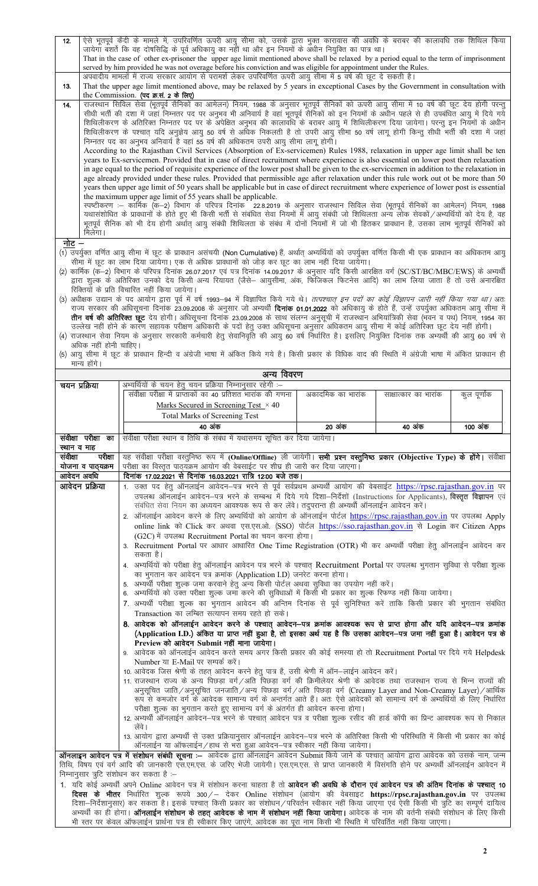| 12.   | ऐसे भूतपूर्व कैदी के मामले में, उपरिवर्णित ऊपरी आयु सीमा को, उसके द्वारा भुक्त कारावास की अवधि के बराबर की कालावधि तक शिथिल किया              |
|-------|-----------------------------------------------------------------------------------------------------------------------------------------------|
|       | जायेगा बंशर्ते कि वह दोषसिद्धि के पूर्व अधिकायु का नहीं था और इन नियमों के अधीन नियुक्ति का पात्र था।                                         |
|       | That in the case of other ex-prisoner the upper age limit mentioned above shall be relaxed by a period equal to the term of imprisonment      |
|       | served by him provided he was not overage before his conviction and was eligible for appointment under the Rules.                             |
|       | अपवादीय मामलों में राज्य सरकार आयोग से परामर्श लेकर उपरिवर्णित ऊपरी आयु सीमा में 5 वर्ष की छूट दे सकती है।                                    |
| 13.   | That the upper age limit mentioned above, may be relaxed by 5 years in exceptional Cases by the Government in consultation with               |
|       | the Commission. (पद क्र.सं. 2 के लिए)                                                                                                         |
| 14.   | राजस्थान सिविल सेवा (भूतपूर्व सैनिकों का आमेलन) नियम, 1988 के अनुसार भूतपूर्व सैनिकों को ऊपरी आयु सीमा में 10 वर्ष की छूट देय होगी परन्तु     |
|       | सीधी भर्ती की दशा में जहां निम्नतर पद पर अनुभव भी अनिवार्य है वहां भूतपूर्व सैनिकों को इन नियमों के अधीन पहले से ही उपबंधित आयु में दिये गये  |
|       | शिथिलीकरण के अतिरिक्त निम्नतर पद पर के अपेक्षित अनुभव की कालावंधि के बराबर आयु में शिथिलीकरण दिया जायेगा। परन्तु इन नियमों के अधीन            |
|       | शिथिलीकरण के पश्चात् यदि अनुज्ञेय आयु 50 वर्ष से अधिक निकलती है तो उपरी आयु सीमा 50 वर्ष लागू होगी किन्तु सीधी भर्ती की दशा में जहां          |
|       | निम्नतर पद का अनुभव अनिवार्य है वहां 55 वर्ष की अधिकतम उपरी आयु सीमा लागू होगी।                                                               |
|       | According to the Rajasthan Civil Services (Absorption of Ex-servicemen) Rules 1988, relaxation in upper age limit shall be ten                |
|       | years to Ex-servicemen. Provided that in case of direct recruitment where experience is also essential on lower post then relaxation          |
|       | in age equal to the period of requisite experience of the lower post shall be given to the ex-servicemen in addition to the relaxation in     |
|       | age already provided under these rules. Provided that permissible age after relaxation under this rule work out ot be more than 50            |
|       | years then upper age limit of 50 years shall be applicable but in case of direct recruitment where experience of lower post is essential      |
|       | the maximum upper age limit of 55 years shall be applicable.                                                                                  |
|       | स्पष्टीकरण :– कार्मिक (क–2) विभाग के परिपत्र दिनांक 22.8.2019 के अनुसार राजस्थान सिविल सेवा (भूतपूर्व सैनिकों का आमेलन) नियम, 1988            |
|       | यथासंशोधित के प्रावधानों के होते हुए भी किसी भर्ती से संबंधित सेवा नियमों में आयु संबंधी जो शिथिलता अन्य लोक सेवकों/अभ्यर्थियों को देय है, वह |
|       | भूतपूर्व सैनिक को भी देय होगी अर्थात् आयु संबंधी शिथिलता के संबंध में दोनों नियमों में जो भी हितकर प्रावधान है, उसका लाभ भूतपूर्व सैनिकों को  |
|       | मिलेगा।                                                                                                                                       |
| नोट – |                                                                                                                                               |

- (1) उपर्युक्त वर्णित आयु सीमा में छूट के प्रावधान असंचयी (Non Cumulative) हैं, अर्थात् अम्पर्थियों को उपर्युक्त वर्णित किसी भी एक प्रावधान का अधिकतम आयु सीमा में छूट का लाभ दिया जायेगा। एक से अधिक प्रावधानों को जोड़ कर छूट का लाभ नहीं दिया जायेगा।
- (2) कार्मिक (क–2) विभाग के परिपत्र दिनांक 26.07.2017 एवं पत्र दिनांक 14.09.2017 के अनुसार यदि किसी आरक्षित वर्ग (SC/ST/BC/MBC/EWS) के अभ्यर्थी द्वारा शुल्क के अतिरिक्त उनको देय किसी अन्य रियायत (जैसे— आयुसीमा, अंक, फिजिकल फिटनेस आदि) का लाभ लिया जाता है तो उसे अनारक्षित रिक्तियों के प्रति विचारित नहीं किया जायेगा।
- (3) अधीक्षक उद्यान के पद आयोग द्वारा पूर्व में वर्ष 1993–94 में विज्ञापित किये गये थे। *तत्पश्चात् इन पदों का कोई विज्ञापन जारी नहीं किया गया था।* अतः राज्य सरकार की अधिसूचना दिनांक 23.09.2008 के अनुसार जो अभ्यर्थी **दिनांक 01.01.2022** को अधिकायु के होते हैं, उन्हें उपर्युक्त अधिकतम आयु सीमा में <mark>तीन वर्ष की अतिरिक्त छूट</mark> देय होगी। अधिसूचना दिनांक 23.09.2008 के साथ संलग्न अनुसूची में राजस्थान अभियांत्रिकी सेवा (भवन व पथ) नियम, 1954 का myys diverse digksus digksus data gamagkan dan digksus dan digkan dan bekenda gamagkan dan digkomponisi viring<br>उल्लेख नहीं होने के कारण सहायक परीक्षण अधिकारी के पदों हेतु उक्त अधिसूचना अनुसार अधिकतम आयु सीमा में कोई अतिरि
- 4) राजस्थान सेवा नियम के अनुसार सरकारी कर्मचारी हेतु सेवानिवृति की आयु 60 वर्ष निर्धारित है। इसलिए नियुक्ति दिनांक तक अभ्यर्थी की आयु 60 वर्ष से अधिक नहीं होनी चाहिए।

<sup>(5)</sup> आयु सीमा में छूट के प्रावधान हिन्दी व अंग्रेजी भाषा में अंकित किये गये है। किसी प्रकार के विधिक वाद की स्थिति में अंग्रेजी भाषा में अंकित प्रावधान ही मान्य होंगे।

| अन्य विवरण                              |                                                                                                                                                                                                                                                                                                |                   |                       |              |  |  |  |  |  |  |
|-----------------------------------------|------------------------------------------------------------------------------------------------------------------------------------------------------------------------------------------------------------------------------------------------------------------------------------------------|-------------------|-----------------------|--------------|--|--|--|--|--|--|
| चयन प्रक्रिया                           | अभ्यर्थियों के चयन हेतु चयन प्रक्रिया निम्नानुसार रहेगी :-                                                                                                                                                                                                                                     |                   |                       |              |  |  |  |  |  |  |
|                                         | संवीक्षा परीक्षा में प्राप्ताकों का 40 प्रतिशत भारांक की गणना                                                                                                                                                                                                                                  | अकादमिक का भारांक | साक्षात्कार का भारांक | कुल पूर्णांक |  |  |  |  |  |  |
|                                         | Marks Secured in Screening Test $\times$ 40                                                                                                                                                                                                                                                    |                   |                       |              |  |  |  |  |  |  |
|                                         | Total Marks of Screening Test                                                                                                                                                                                                                                                                  |                   |                       |              |  |  |  |  |  |  |
|                                         | 40 अंक                                                                                                                                                                                                                                                                                         | 20 अंक            | 40 अंक                | 100 अंक      |  |  |  |  |  |  |
| सवीक्षा परीक्षा का                      | संवीक्षा परीक्षा स्थान व तिथि के संबंध में यथासमय सूचित कर दिया जायेगा।                                                                                                                                                                                                                        |                   |                       |              |  |  |  |  |  |  |
| स्थान व माह                             |                                                                                                                                                                                                                                                                                                |                   |                       |              |  |  |  |  |  |  |
| परीक्षा<br>संवीक्षा                     | यह संवीक्षा परीक्षा वस्तुनिष्ठ रूप में (Online/Offline) ली जायेगी। <b>सभी प्रश्न वस्तुनिष्ठ प्रकार (Objective Type) के होंगे।</b> संवीक्षा                                                                                                                                                     |                   |                       |              |  |  |  |  |  |  |
| योजना व पाठ्यक्रम                       | परीक्षा का विस्तृत पाठ्यक्रम आयोग की वेबसाईट पर शीघ्र ही जारी कर दिया जाएगा।                                                                                                                                                                                                                   |                   |                       |              |  |  |  |  |  |  |
| आवेदन अवधि                              | दिनांक 17.02.2021 से दिनांक 16.03.2021 रात्रि 12:00 बजे तक।                                                                                                                                                                                                                                    |                   |                       |              |  |  |  |  |  |  |
| आवेदन प्रक्रिया                         | 1. उक्त पद हेतु ऑनलाईन आवेदन–पत्र भरने से पूर्व सर्वप्रथम अभ्यर्थी आयोग की वेबसाईट https://rpsc.rajasthan.gov.in पर                                                                                                                                                                            |                   |                       |              |  |  |  |  |  |  |
|                                         | उपलब्ध ऑनलाईन आवेदन–पत्र भरने के सम्बन्ध में दिये गये दिशा–निर्देशों (Instructions for Applicants), <b>विस्तृत विज्ञापन</b> एवं                                                                                                                                                                |                   |                       |              |  |  |  |  |  |  |
|                                         | संबंधित सेवा नियम का अध्ययन आवश्यक रूप से कर लेंवे। तदुपरान्त ही अभ्यर्थी ऑनलाईन आवेदन करें।                                                                                                                                                                                                   |                   |                       |              |  |  |  |  |  |  |
|                                         | 2. ऑनलाईन आवेदन करने के लिए अभ्यर्थियों को आयोग के ऑनलाईन पोर्टल https://rpsc.rajasthan.gov.in पर उपलब्ध Apply                                                                                                                                                                                 |                   |                       |              |  |  |  |  |  |  |
|                                         | online link को Click कर अथवा एस.एस.ओ. (SSO) पोर्टल https://sso.rajasthan.gov.in से Login कर Citizen Apps                                                                                                                                                                                       |                   |                       |              |  |  |  |  |  |  |
|                                         | (G2C) में उपलब्ध Recruitment Portal का चयन करना होगा।                                                                                                                                                                                                                                          |                   |                       |              |  |  |  |  |  |  |
|                                         | 3. Recruitment Portal पर आधार आधारित One Time Registration (OTR) भी कर अभ्यर्थी परीक्षा हेतु ऑनलाईन आवेदन कर                                                                                                                                                                                   |                   |                       |              |  |  |  |  |  |  |
|                                         | सकता है।                                                                                                                                                                                                                                                                                       |                   |                       |              |  |  |  |  |  |  |
|                                         | 4. अभ्यर्थियों को परीक्षा हेतु ऑनलाईन आवेदन पत्र भरने के पश्चात् Recruitment Portal पर उपलब्ध भुगतान सुविधा से परीक्षा शुल्क                                                                                                                                                                   |                   |                       |              |  |  |  |  |  |  |
|                                         | का भुगतान कर आवेदन पत्र क्रमांक (Application I.D) जनरेट करना होगा।                                                                                                                                                                                                                             |                   |                       |              |  |  |  |  |  |  |
|                                         | 5. अभ्यर्थी परीक्षा शुल्क जमा करवाने हेतु अन्य किसी पोर्टल अथवा सुविधा का उपयोग नहीं करें।                                                                                                                                                                                                     |                   |                       |              |  |  |  |  |  |  |
|                                         | 6. अभ्यर्थियों को उक्त परीक्षा शुल्क जमा करने की सुविधाओं में किसी भी प्रकार का शुल्क रिफण्ड नहीं किया जायेगा।                                                                                                                                                                                 |                   |                       |              |  |  |  |  |  |  |
|                                         | 7. अभ्यर्थी परीक्षा शुल्क का भुगतान आवेदन की अन्तिम दिनांक से पूर्व सुनिश्चित करें ताकि किसी प्रकार की भुगतान संबंधित                                                                                                                                                                          |                   |                       |              |  |  |  |  |  |  |
|                                         | Transaction का लम्बित सत्यापन समय रहते हो सके।                                                                                                                                                                                                                                                 |                   |                       |              |  |  |  |  |  |  |
|                                         | 8. आवेदक को ऑनलाईन आवेदन करने के पश्चात् आवेदन—पत्र क्रमांक आवश्यक रूप से प्राप्त होगा और यदि आवेदन—पत्र क्रमांक                                                                                                                                                                               |                   |                       |              |  |  |  |  |  |  |
|                                         | (Application I.D.) अंकित या प्राप्त नहीं हुआ है, तो इसका अर्थ यह है कि उसका आवेदन–पत्र जमा नहीं हुआ है। आवेदन पत्र के<br>Preview को आवेदन Submit नहीं माना जायेगा।                                                                                                                             |                   |                       |              |  |  |  |  |  |  |
|                                         | 9. आवेदक को ऑनलाईन आवेदन करते समय अगर किसी प्रकार की कोई समस्या हो तो Recruitment Portal पर दिये गये Helpdesk                                                                                                                                                                                  |                   |                       |              |  |  |  |  |  |  |
|                                         | Number या E-Mail पर सम्पर्क करें।                                                                                                                                                                                                                                                              |                   |                       |              |  |  |  |  |  |  |
|                                         | 10. आवेदक जिस श्रेणी के तहत् आवेदन करने हेतु पात्र है, उसी श्रेणी में ऑन-लाईन आवेदन करें।                                                                                                                                                                                                      |                   |                       |              |  |  |  |  |  |  |
|                                         | 11. राजस्थान राज्य के अन्य पिछड़ा वर्ग/अति पिछड़ा वर्ग की क्रिमीलेयर श्रेणी के आवेदक तथा राजस्थान राज्य से भिन्न राज्यों की                                                                                                                                                                    |                   |                       |              |  |  |  |  |  |  |
|                                         | अनुसूचित जाति /अनुसूचित जनजाति /अन्य पिछड़ा वर्ग /अति पिछड़ा वर्ग (Creamy Layer and Non-Creamy Layer) /आर्थिक                                                                                                                                                                                  |                   |                       |              |  |  |  |  |  |  |
|                                         | रूप से कमजोर वर्ग के आवेदक सामान्य वर्ग के अन्तर्गत आते हैं। अतः ऐसे आवेदकों को सामान्य वर्ग के अभ्यर्थियों के लिए निर्धारित                                                                                                                                                                   |                   |                       |              |  |  |  |  |  |  |
|                                         | परीक्षा शुल्क का भुगतान करते हुए सामान्य वर्ग के अंतर्गत ही आवेदन करना होगा।                                                                                                                                                                                                                   |                   |                       |              |  |  |  |  |  |  |
|                                         | 12. अभ्यर्थी ऑनलाईन आवेदन–पत्र भरने के पश्चात् आवेदन पत्र व परीक्षा शुल्क रसीद की हार्ड कॉपी का प्रिन्ट आवश्यक रूप से निकाल                                                                                                                                                                    |                   |                       |              |  |  |  |  |  |  |
|                                         | लेंवे                                                                                                                                                                                                                                                                                          |                   |                       |              |  |  |  |  |  |  |
|                                         | 13. आयोग द्वारा अभ्यर्थी से उक्त प्रक्रियानुसार ऑनलाईन आवेदन—पत्र भरने के अतिरिक्त किसी भी परिस्थिति में किसी भी प्रकार का कोई<br>ऑनलाईन या ऑफलाईन/हाथ से भरा हुआ आवेदन–पत्र स्वीकार नहीं किया जायेगा।                                                                                         |                   |                       |              |  |  |  |  |  |  |
|                                         |                                                                                                                                                                                                                                                                                                |                   |                       |              |  |  |  |  |  |  |
|                                         | <b>ऑनलाइन आवेदन पत्र में संशोधन संबंधी सूचना :</b> — आवेदक द्वारा ऑनलाईन आवेदन Submit किये जाने के पश्चात् आयोग द्वारा आवेदक को उसके नाम, जन्म<br>तिथि, विषय एवं वर्ग आदि की जानकारी एस.एम.एस. के जरिए भेजी जायेगी। एस.एम.एस. से प्राप्त जानकारी में विसंगति होने पर अभ्यर्थी ऑनलाईन आवेदन में |                   |                       |              |  |  |  |  |  |  |
| निम्नानुसार त्रूटि संशोधन कर सकता है :- |                                                                                                                                                                                                                                                                                                |                   |                       |              |  |  |  |  |  |  |
|                                         |                                                                                                                                                                                                                                                                                                |                   |                       |              |  |  |  |  |  |  |

1. यदि कोई अभ्यर्थी अपने Online आवेदन पत्र में संशोधन करना चाहता है तो **आवेदन की अवधि के दौरान एवं आवेदन पत्र की अंतिम दिनांक के पश्चात् 10 दिवस के भीतर** निर्धारित शुल्क रूपये 300/– देकर Online संशोधन (आयोग की वेबसाइट https://rpsc.rajasthan.gov.in पर उपलब्ध दिशा-निर्देशानुसार) कर सकता है। इसके पश्चात् किसी प्रकार का संशोधन /परिवर्तन स्वीकार नहीं किया जाएगा एवं ऐसी किसी भी त्रुटि का सम्पूर्ण दायित्व अभ्यर्थी का ही होगा। **ऑनलाईन संशोधन के तहत् आवेदक के नाम में संशोधन नहीं किया जायेगा।** आवेदक के नाम की वर्तनी संबंधी संशोधन के लिए किसी भी स्तर पर केवल ऑफलाईन प्रार्थना पत्र ही स्वीकार किए जाएंगे, आवेदक का पूरा नाम किसी भी स्थिति में परिवर्तित नहीं किया जाएगा।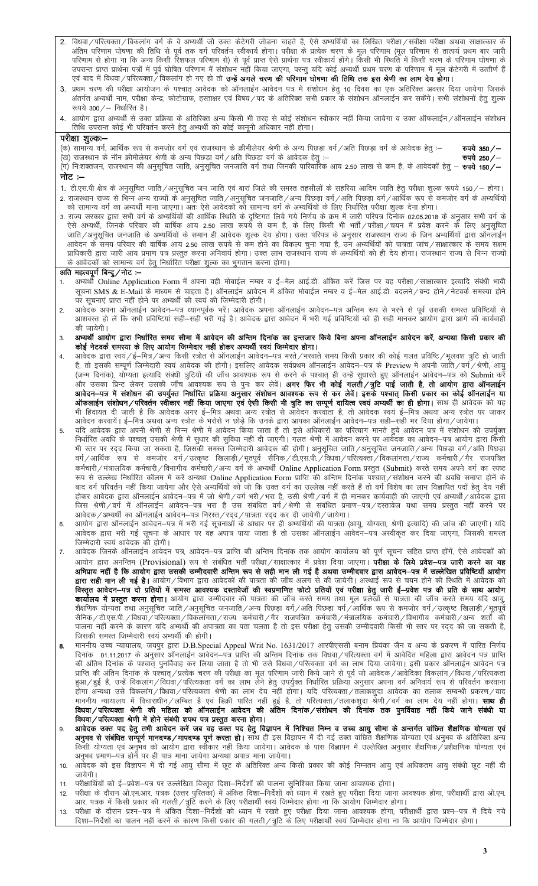- विधवा / परित्यक्ता / विकलांग वर्ग के वे अभ्यर्थी जो उक्त केटेगरी जोडना चाहते है, ऐसे अभ्यर्थियों का लिखित परीक्षा / संवीक्षा परीक्षा अथवा साक्षात्कार के  $2.$ पिययां/ पारत्यक्ता/ पिकलांग पर्ग के पेजन्या जा उक्त कटगरा जाड़ना चाहत है, एस जन्यायया का लाखत पराता/ संपाता अचया सातात्कार के<br>अंतिम परिणाम घोषणा की तिथि से पूर्व तक वर्ग परिवर्तन स्वीकार्य होगा। परीक्षा के प्रत्येक चरण के
- 3. प्रथम चरण की परीक्षा आयोजन के पश्चात् आवेदक को ऑनलाईन आवेदन पत्र में संशोधन हेतु 10 दिवस का एक अतिरिक्त अवसर दिया जायेगा जिसके अंतर्गत अभ्यर्थी नाम, परीक्षा केन्द्र, फोटोग्राफ, हस्ताक्षर एवं विषय/पद के अतिरिक्त सभी प्रकार के संशोधन ऑनलाईन कर सकेंगे। सभी संशोधनों हेतु शुल्क रूपये 300 $/$ – निर्धारित है।
- 4. आयोग द्वारा अभ्यर्थी से उक्त प्रक्रिया के अतिरिक्त अन्य किसी भी तरह से कोई संशोधन स्वीकार नहीं किया जायेगा व उक्त ऑफलाईन∕ऑनलाईन संशोधन तिथि उपरान्त कोई भी परिवर्तन करने हेतु अभ्यर्थी को कोई कानूनी अधिकार नहीं होगा।

### परीक्षा शूल्कः—

(क) सामान्य वर्ग, आर्थिक रूप से कमजोर वर्ग एवं राजस्थान के क्रीमीलेयर श्रेणी के अन्य पिछड़ा वर्ग∕अति पिछड़ा वर्ग के आवेदक हेतू :—

(संग्रहण मानवार, जानिक रंग से संगलार का रहा सजरना में क्रम संसद के मानवार को का माठड़ा का रहा कर रहा रहा रहा स<br>— (ख) राजस्थान के नॉन क्रीमीलेयर श्रेणी के अन्य पिछड़ा वर्ग /अति पिछड़ा वर्ग के आवेदक हेतु :—<br>(ग) नि:शक्तजन, नोट :–

- 1. टी.एस.पी क्षेत्र के अनुसूचित जाति/अनुसूचित जन जाति एवं बारां जिले की समस्त तहसीलों के सहरिया आदिम जाति हेतु परीक्षा शुल्क रूपये 150/– होगा। 2. राजस्थान राज्य से भिन्न अन्य राज्यों के अनुसूचित जाति/अनुसूचित जनजाति/अन्य पिछड़ा वर्ग/अति पिछड़ा वर्ग/आर्थिक रूप से कमजोर वर्ग के अभ्यर्थियों को सामान्य वर्ग का अभ्यर्थी माना जाएगा। अतः ऐसे आवेदकों को सामान्य वर्ग के अभ्यर्थियों के लिए निर्धारित परीक्षा शुल्क देना होगा।
- 3. राज्य सरकार द्वारा सभी वर्ग के अभ्यर्थियों की आर्थिक स्थिति के दृष्टिगत लिये गये निर्णय के क्रम में जारी परिपत्र दिनांक 02.05.2018 के अनुसार सभी वर्ग के ऐसे अभ्यर्थी, जिनके परिवार की वार्षिक आय 2.50 लाख रूपये से कम है, के लिए किसी भी भर्ती/परीक्षा/चयन में प्रवेश करने के लिए अनुसूचित .<br>जाति∕अनुसूचित जनजाति के अभ्यर्थियों के समान ही आवेदक शुल्क देय होगा। उक्त परिपत्र के अनुसार राजस्थान राज्य के जिन अभ्यर्थियों द्वारा ऑनलाईन आवेदन के समय परिवार की वार्षिक आय 2.50 लाख रूपये से कम होने का विकल्प चुना गया है, उन अभ्यर्थियों को पात्रता जांच/साक्षात्कार के समय सक्षम प्राधिकारी द्वारा जारी आय प्रमाण पत्र प्रस्तुत करना अनिवार्य होगा। उक्त लाभ राजस्थान राज्य के अभ्यर्थियों को ही देय होगा। राजस्थान राज्य से भिन्न राज्यों <u>के आवेदकों को सामान्य वर्ग हेतु निर्धारित परीक्षा शु</u>ल्क का भुगतान करना होगा।

#### अति महत्वपूर्ण बिन्दु/नोट :–

- अभ्यर्थी Online Application Form में अपना वही मोबाईल नम्बर व ई–मेल आई.डी. अंकित करें जिस पर वह परीक्षा/साक्षात्कार इत्यादि संबंधी भावी  $1.$ सूचना SMS & E-Mail के माध्यम से चाहता है। ऑनलाईन आवेदन में अंकित मोबाईल नम्बर व ई—मेल आई.डी. बदलने ⁄ बन्द होने ⁄ नेटवर्क समस्या होने पर सूचनाएं प्राप्त नहीं होने पर अभ्यर्थी की स्वयं की जिम्मेदारी होगी।
- $\overline{2}$ आवेदक अपना ऑनलाईन आवेदन–पत्र ध्यानपूर्वक भरें। आवेदक अपना ऑनलाईन आवेदन–पत्र अन्तिम रूप से भरने से पूर्व उसकी समस्त प्रविष्टियों से आशवस्त हो लें कि सभी प्रविष्टियां सही—सही मरी गई है। आवेदक द्वारा आवेदन में भरी गई प्रविष्टियों को ही सही मानकर आयोग द्वारा आगे की कार्यवाही की जायेगी।
- अभ्यर्थी आयोग द्वारा निर्धारित समय सीमा में आवेदन की अन्तिम दिनांक का इन्तजार किये बिना अपना ऑनलाईन आवेदन करें, अन्यथा किसी प्रकार की<br>कोई नेटवर्क समस्या के लिए आयोग जिम्मेदार नहीं होकर अभ्यर्थी स्वयं जिम्मेदार होगा।  $3.$
- आवेदक द्वारा स्वयं /ई–मित्र /अन्य किसी स्त्रोत से ऑनलाईन आवेदन–पत्र भरते /भरवाते समय किसी प्रकार की कोई गलत प्रविष्टि /भूलवश त्रुटि हो जाती  $\overline{4}$ है, तो इसकी सम्पूर्ण जिम्मेदारी स्वयं आवेदक की होगी। इसलिए आवेदक सर्वप्रथम ऑनलाईन आवेदन–पत्र के Preview मे अपनी जाति/वर्ग/श्रेणी, आयु (जन्म दिनांक), योग्यता इत्यादि संबंधी त्रुटियों की जाँच आवश्यक रूप से करने के पश्चात् ही उन्हें सुधारते हुए ऑनलाईन आवेदन—पत्र को Submit करें आपदेश-पत्र न संसादन का उनकुका मनारह नाटना जर्जुना, समान में नारा मानवारी दायित्व स्वयं अभ्यर्थी का ही होगा। साथ ही आवेदक को यह भी हिदायत दी जाती है कि आवेदक अगर ई—मित्र अथवा अन्य स्त्रोत से आवेदन करवाता है, तो आवेदक स्वयं ई—मित्र अथवा अन्य स्त्रोत पर जाकर आवेदन करवायें। ई-मित्र अथवा अन्य स्त्रोत के भरोसे न छोड़े कि उनके द्वारा आपका ऑनलाईन आवेदन-पत्र सही-सही भर दिया होगा/जायेगा।
- यदि आवेदक द्वारा अपनी श्रेणी से भिन्न श्रेणी में आवेदन किया जाता है तो इसे अधिकारों का परित्याग मानते हुये आवेदन पत्र में संशोधन की उपर्युक्त 5. निर्धारित अवधि के पश्चात् उसकी श्रेणी में सुधार की सुविधा नहीं दी जाएगी। गलत श्रेणी में आवेदन करने पर आवेदक का आवेदन–पत्र आयोग द्वारा किसी भी स्तर पर रदद किया जा सकता है, जिसकी समस्त जिम्मेदारी आवेदक की होगी। अनुसूचित जाति/अनुसूचित जनजाति/अन्य पिछड़ा वर्ग/अति पिछड़ा वर्ग/आर्थिक रूप से कमजोर वर्ग/उत्कृष्ट खिलाड़ी/भूतपूर्व सैनिक/टी.एस.पी./विधवा/परित्यक्ता/विकलांगता/राज्य कर्मचारी/गैर राजपत्रित कर्मचारी / मंत्रालयिक कर्मचारी / विभागीय कर्मचारी / अन्य वर्ग के अभ्यर्थी Online Application Form प्रस्तुत (Submit) करते समय अपने वर्ग का स्पष्ट रूप से उल्लेख निर्धारित कॉलम में करें अन्यथा Online Application Form प्राप्ति की अन्तिम दिनांक पश्चात्/संशोधन करने की अवधि समाप्त होनें के बाद वर्ग परिवर्तन नहीं किया जायेगा और ऐसे अभ्यर्थियों को जो कि उक्त वर्ग का उल्लेख नहीं करते हैं तो वर्ग विशेष का लाभ विज्ञापित पदों हेतु देय नहीं .<br>होकर आवेदक द्वारा ऑनलाईन आवेदन—पत्र में जो श्रेणी/वर्ग भरी/भरा है, उसी श्रेणी/वर्ग में ही मानकर कार्यवाही की जाएगी एवं अभ्यर्थी/आवेदक द्वारा जिस श्रेणी / वर्ग में ऑनलाईन आवेदन–पत्र भरा है उस संबंधित वर्ग /श्रेणी से संबंधित प्रमाण–पत्र / दस्तावेज यथा समय प्रस्तुत नहीं करने पर
- 6 .<br>आवेदक द्वारा भरी गई सूचना के आधार पर वह अपात्र पाया जाता है तो उसका ऑनलाईन आवेदन–पत्र अस्वीकृत कर दिया जाएगा, जिसकी समस्त जिम्मेदारी स्वयं आवेदक की होगी।
- आवेदक जिनके ऑनलाईन आवेदन पत्र, आवेदन–पत्र प्राप्ति की अन्तिम दिनांक तक आयोग कार्यालय को पूर्ण सूचना सहित प्राप्त होंगें, ऐसे आवेदकों को  $\overline{7}$ आयोग द्वारा अनन्तिम (Provisional) रूप से संबंधित भर्ती परीक्षा/साक्षात्कार में प्रवेश दिया जाएगा। **परीक्षा के लिये प्रवेश–पत्र जारी करने का यह** आ मान करने के बाद कर साथ करने के साथ से साथ किया है जाने की साथ करने के लिए किया है कि साथ करने की साथ करने की **द्वारा सही मान ली गई है।** आयोग/विभाग द्वारा आवेदकों की पात्रता की जाँच अलग से की जायेगी। अस्थाई रूप से चयन होने की स्थिति में आवेदक को विस्तृत आवेदन-पत्र दो प्रतियों में समस्त आवश्यक दस्तावेजों की स्वप्रमाणित फोटो प्रतियों एवं परीक्षा हेतु जारी ई-प्रवेश पत्र की प्रति के साथ आयोग **कार्यालय में प्रस्तुत करना होगा।** आयोग द्वारा उम्मीदवार की पात्रता की जाँच करते समय तथा मूल प्रलेखों से पात्रता की जाँच करते समय यदि आयु,<br>शैक्षणिक योग्यता तथा अनुसूचित जाति/अनुसूचित जनजाति/अन्य पिछड़ा वर्ग/अति पिछड़ा वर् सैनिक / टी.एस.पी. / विधवा / परित्यक्ता / विकलांगता / राज्य कर्मचारी / गैर राजपत्रित कर्मचारी / मंत्रालयिक कर्मचारी / विभागीय कर्मचारी / अन्य शर्तो की पालना नहीं करने के कारण यदि अभ्यर्थी की अपात्रता का पता चलता है तो इस परीक्षा हेतु उसकी उम्मीदवारी किसी भी स्तर पर रदद की जा सकती है, जिसकी समस्त जिम्मेदारी स्वयं अभ्यर्थी की होगी।
- माननीय उच्च न्यायालय, जयपुर द्वारा D.B.Special Appeal Writ No. 1631/2017 आरपीएससी बनाम प्रियंका जैन व अन्य के प्रकरण में पारित निर्णय<br>दिनांक 01.11.2017 के अनुसार ऑनलाईन आवेदन—पत्र प्राप्ति की अन्तिम दिनांक तक विधवा ⁄ परि 8. की अंतिम दिनांक के पश्चात् पुनर्विवाह कर लिया जाता है तो भी उसे विधवा/परित्यक्ता वर्ग का लाभ दिया जायेगा। इसी प्रकार ऑनलाईन आवेदन पत्र प्राप्ति की अंतिम दिनांक के पश्चात्/प्रत्येक चरण की परीक्षा का मूल परिणाम जारी किये जाने से पूर्व जो आवेदक/आवेदिका विकलांग/विधवा/परित्यकता हुआ/हुई है, उन्हें विकलांग/विधवा/परित्यकता वर्ग का लाभ लेने हेतु उपर्युक्त निर्धारित प्रक्रिया अनुसार अपना वर्ग अनिवार्य रूप से परिवर्तन करवाना ड़<br>होगा अन्यथा उसे विकलांग ∕विधवा ∕परित्यकता श्रेणी का लाभ देय नहीं होगा। यदि परित्यक्ता ∕तलाकशुदा आवेदक का तलाक सम्बन्धी प्रकरण ∕वाद माननीय न्यायालय में विचाराधीन ⁄लम्बित है एवं डिक्री पारित नहीं हुई है, तो परित्यक्ता ⁄तलाकशुदा श्रेणी ⁄वर्ग का लाभ देय नहीं होगा। **साथ ही** विधवा/परित्यक्ता श्रेणी में होने संबंधी शपथ पत्र प्रस्तुत करना होगा।
- आवेदक उक्त पद हेतु तभी आवेदन करें जब वह उक्त पद हेतु विज्ञापन में निश्चित निम्न व उच्च आयु सीमा के अन्तर्गत वांछित शैक्षणिक योग्यता एवं  $9<sub>1</sub>$ अनुभव से संबंधित सम्पूर्ण मानदण्ड/मापदण्ड पूर्ण करता हो। साथ ही इस विज्ञापन में दी गई उक्त वांछित शैक्षणिक योग्यता एवं अनुभव के अतिरिक्त अन्य किसी योग्यता एवं अनुमव को आयोग द्वारा स्वीकार नहीं किया जायेगा। आवेदक के पास विज्ञापन में उल्लेखित अनुसार शैक्षणिक प्रशैक्षणिक योग्यता एवं अनुभव प्रमाण–पत्र होर्ने पर ही पात्र माना जायेगा अन्यथा अपात्र माना जायेगा।
- .<br>आवेदक को इस विज्ञापन में दी गई आयु सीमा में छूट के अतिरिक्त अन्य किसी प्रकार की कोई निम्नतम आयु एवं अधिकतम आयु संबंधी छूट नहीं दी  $10.$ जायेगी।
- जापना।<br>परीक्षार्थियों को ई—प्रवेश—पत्र पर उल्लेखित विस्तृत दिशा—निर्देशों की पालना सुनिश्चित किया जाना आवश्यक होगा।  $11$
- $12.$ आर. पत्रक में किसी प्रकार की गलती / त्रुटि करने के लिए परीक्षार्थी स्वयं जिम्मेदार होगा ना कि आयोग जिम्मेदार होगा।
- आर. पत्रक न करता प्रकार का मराता/ अर पर में कार सरकार समाना समाना होता है। यह समाना आवश्यक होगा, परीक्षार्थी द्वारा प्रश्न–पत्र में दिये गये<br>परीक्षा के दौरान प्रश्न–पत्र में अंकित दिशा–निर्देशों को ध्यान में रखते हुए परीक  $13.$ दिशा—निर्देशों का पालन नहीं करनें के कारण किसी प्रकार की गलती ⁄ त्रुटि के लिए परीक्षार्थी स्वयं जिम्मेदार होगा ना कि आयोग जिम्मेदार होगा।

रुपये 350/-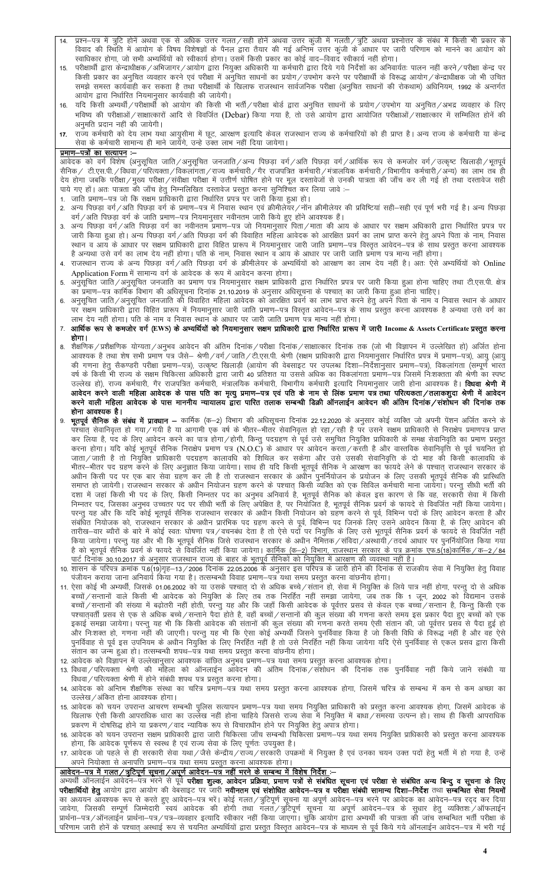- $14$ प्रश्न–पत्र में त्रुटि होनें अथवा एक से अधिक उत्तर गलत/सही होनें अथवा उत्तर कुंजी में गलती/त्रुटि अथवा प्रश्नोत्तर के संबंध में किसी भी प्रकार के विवाद की स्थिति में आयोग के विषय विशेषज्ञों के पैनल द्वारा तैयार की गई अन्तिम उत्तर कुंजी के आधार पर जारी परिणाम को मानने का आयोग को स्वाधिकार होगा, जो सभी अभ्यर्थियों को स्वीकार्य होगा। उसमें किसी प्रकार का कोई वाद–विवाद स्वीकार्य नहीं होगा।
- परीक्षार्थी द्वारा केन्द्राधीक्षक/अभिजागर/आयोग द्वारा नियुक्त अधिकारी या कर्मचारी द्वारा दिये गये निर्देशों का अनिवार्यतः पालन नहीं करने/परीक्षा केन्द्र पर  $15.$ किसी प्रकार का अनुचित व्यवहार करने एवं परीक्षा में अनुचित साधनों का प्रयोग/उपभोग करने पर परीक्षार्थी के विरूद्ध आयोग/केन्द्राधीक्षक जो भी उचित आयोग द्वारा निर्धारित नियमानुसार कार्यवाही की जायेगी।
- यदि किसी अभ्यर्थी/परीक्षार्थी को आयोग की किसी भी भर्ती/परीक्षा बोर्ड द्वारा अनुचित साधनों के प्रयोग/उपभोग या अनुचित/अभद्र व्यवहार के लिए  $16$ भविष्य की परीक्षाओं / साक्षात्कारों आदि से विवर्जित (Debar) किया गया है, तो उसे आयोग द्वारा आयोजित परीक्षाओं / साक्षात्कार में सम्मिलित होनें की अनमति प्रदान नहीं की जायेगी।
- राज्य कर्मचारी को देय लाभ यथा आयुसीमा में छूट, आरक्षण इत्यादि केवल राजस्थान राज्य के कर्मचारियों को ही प्राप्त है। अन्य राज्य के कर्मचारी या केन्द्र  $17.$ .<br>सेवा के कर्मचारी सामान्य ही माने जायेंगे, उन्हे उक्त लाभ नहीं दिया जायेगा।

#### <u>प्रमाण-पत्रों का सत्यापन</u> :-

आवेदक को वर्ग विशेष (अनुसूचित जाति ⁄अनुसूचित जनजाति ⁄अन्य पिछड़ा वर्ग ⁄अति पिछड़ा वर्ग ⁄आर्थिक रूप से कमजोर वर्ग ⁄उत्कृष्ट खिलाड़ी ⁄भूतपूर्व सैनिक / टी.एस.पी. /विधवा /परित्यक्ता /विकलांगता /राज्य कर्मचारी /गैर राजपत्रित कर्मचारी /मंत्रालयिक कर्मचारी /विभागीय कर्मचारी /अन्य) का लाभ तब ही देय होगा जबकि परीक्षा/मुख्य परीक्षा/संवीक्षा परीक्षा में उत्तीर्ण घोषित होने पर मूल दस्तावेजों से उनकी पात्रता की जाँच कर ली गई हो तथा दस्तावेज सही पाये गए हों। अतः पात्रता की जाँच हेतु निम्नलिखित दस्तावेज प्रस्तुत करना सुनिश्चित कर लिया जावे :–<br>1. जाति प्रमाण–पत्र जो कि सक्षम प्राधिकारी द्वारा निर्धारित प्रपत्र पर जारी किया हुआ हो।

- 
- सन्य पिछड़ा वर्ग∕अति पिछड़ा वर्ग के प्रमाण−पत्र में निवास स्थान एवं क्रीमीलेयर/नॉन क्रीमीलेयर की प्रविष्टियां सही−सही एवं पूर्ण भरी गई है। अन्य पिछड़ा  $2<sup>1</sup>$ वर्ग/अति पिछड़ा वर्ग के जाति प्रमाण–पत्र नियमानुसार नवीनतम जारी किये हुए होने आवश्यक हैं।
- अन्य पिछड़ा वर्ग/अति पिछड़ा वर्ग का नवीनतम प्रमाण-पत्र जो नियमानुसार पिता/माता की आय के आधार पर सक्षम अधिकारी द्वारा निर्धारित प्रपत्र पर  $3.$ जारी किया हुआ हो। अन्य पिछड़ा वर्ग/अति पिछड़ा वर्ग की विवाहित महिला आवेदक को आरक्षित प्रवर्ग का लाभ प्राप्त करने हेतु अपने पिता के नाम, निवास स्थान व आय के आधार पर सक्षम प्राधिकारी द्वारा विहित प्रारूप में नियमानुसार जारी जाति प्रमाण—पत्र विस्तृत आवेदन—पत्र के साथ प्रस्तुत करना आवश्यक है अन्यथा उसे वर्ग का लाभ देय नहीं होगा। पति के नाम, निवास स्थान व आय के आधार पर जारी जाति प्रमाण पत्र मान्य नहीं होगा।
- 4. राजस्थान राज्य के अन्य पिछड़ा वर्ग/अति पिछड़ा वर्ग के क्रीमीलेयर के अभ्यर्थियों को आरक्षण का लाभ देय नहीं है। अतः ऐसे अभ्यर्थियों को Online Application Form में सामान्य वर्ग के आवेदक के रूप में आवेदन करना होगा।
- अनुसूचित जाति/अनुसूचित जनजाति का प्रमाण पत्र नियमानुसार सक्षम प्राधिकारी द्वारा निर्धारित प्रपत्र पर जारी किया हुआ होना चाहिए तथा टी.एस.पी. क्षेत्र को प्रमाण–पत्र कार्मिक विभाग की अधिसूचना दिनांक 21.10.2019 के अनुसार अधिसूचना के पश्चात् का जारी किया हुआ होना चाहिए।<br>अनुसूचित जाति/अनुसूचित जनजाति की विवाहित महिला आवेदक को आरक्षित प्रवर्ग का लाभ प्राप्त करने हेतु अपने प
- .<br>पर संक्षम प्राधिकारी द्वारा विहित प्रारूप में नियमानुसार जारी जाति प्रमाण–पत्र विस्तृत आवेदन–पत्र के साथ प्रस्तुत करना आवश्यक है अन्यथा उसे वर्ग का लाभ देय नहीं होगा। पति के नाम व निवास स्थान के आधार पर जारी जाति प्रमाण पत्र मान्य नहीं होगा।
- आर्थिक रूप से कमजोर वर्ग (EWS) के अभ्यर्थियों को नियमानुसार सक्षम प्राधिकारी द्वारा निर्धारित प्रारूप में जारी Income & Assets Certificate प्रस्तुत करना होगा ।
- शैक्षणिक / प्रशैक्षणिक योग्यता / अनुभव आवेदन की अंतिम दिनांक / परीक्षा दिनांक / साक्षात्कार दिनांक तक (जो भी विज्ञापन में उल्लेखित हो) अर्जित होना  $\mathsf{R}$ आवश्यक है तथा शेष सभी प्रमाण पत्र जैसे– श्रेणी/वर्ग/जाति/टी.एस.पी. श्रेणी (सक्षम प्राधिकारी द्वारा नियमानुसार निर्धारित प्रपत्र में प्रमाण–पत्र), आयु (आयु की गणना हेतु सैकण्डरी परीक्षा प्रमाण-पत्र), उत्कृष्ट खिलाड़ी (आयोग की वेबसाइट पर उपलब्ध दिशा-निर्देशानुसार प्रमाण-पत्र), विकलांगता (सम्पूर्ण भारत वर्ष के किसी भी राज्य के सक्षम चिकित्सा अधिकारी द्वारा जारी 40 प्रतिशत या उससे अधिक का विकलांगता प्रमाण–पत्र जिसमें निःशक्तता की श्रेणी का स्पष्ट उल्लेख हो), राज्य कर्मचारी, गैर राजपत्रित कर्मचारी, मंत्रालयिक कर्मचारी, विभागीय कर्मचारी इत्यादि नियमानुसार जारी होना आवश्यक है। **विधवा श्रेणी में** आवेदन करने वाली महिला आवेदक के पास पति का मृत्यु प्रमाण—पत्र एवं पति के नाम से लिंक प्रमाण पत्र तथा परित्यकता/तलाकशुदा श्रेणी में आवेदन करने वाली महिला आवेदक के पास माननीय न्यायालय द्वारा पारित तलाक सम्बन्धी डिक्री ऑनलाईन आवेदन की अंतिम दिनांक/संशोधन की दिनांक तक होना आवश्यक है।
- **भूतपूर्व सैनिक के संबंध में प्रावधान —** कार्मिक (क—2) विभाग की अधिसूचना दिनांक 22.12.2020 के अनुसार कोई व्यक्ति जो अपनी पेंशन अर्जित करने के<br>पश्चात् सेवानिवृत्त हो गया ∕ गयी है या आगामी एक वर्ष के भीतर—भीतर सेवानिवृत्त  $\mathsf{q}$ कर लिया है, पद के लिए आवेदन करने का पात्र होगा/होगी, किन्तु पदग्रहण से पूर्व उसे समुचित नियुक्ति प्राधिकारी के समक्ष सेवानिवृति का प्रमाण प्रस्तुत करना होगा। यदि कोई भूतपूर्व सैनिक निराक्षेप प्रमाण पत्र (N.O.C) के आधार पर आवेदन करता / करती है और वास्तविक सेवानिवृत्ति से पूर्व चयनित हो जाता ⁄ जाती है तो नियुक्ति प्राधिकारी पदग्रहण कालावधि को शिथिल कर सकेगा और उसे उसकी सेवानिवृत्ति के दो माह की किसी कालावधि के समाप्त हो जायेगी। राजस्थान सरकार के अधीन नियोजन ग्रहण करने के पश्चात् किसी व्यक्ति को एक सिविल कर्मचारी माना जायेगा। परन्तु सीधी भर्ती की त मात्र लगानामा तक ता सामान हैं।<br>दशा में जहां किसी भी पद के लिए, किसी निम्नतर पद का अनुभव अनिवार्य है, भूतपूर्व सैनिक को केवल इस कारण से कि वह, सरकारी सेवा में किसी<br>निम्नतर पद, जिसका अनुभव उच्चतर पद पर सीधी भर्ती के लिए अ परन्तु यह और कि यदि कोई भूतपूर्व सैनिक राजस्थान सरकार के अधीन किसी नियोजन को ग्रहण करने से पूर्व, विभिन्न पदों के लिए आवेदन करता है और संबंधित नियोजक को, राजस्थान सरकार के अधीन प्रारंभिक पद ग्रहण करने से पूर्व, विभिन्न पद जिनके लिए उसने आवेदन किया है, के लिए आवेदन की तारीख—वार ब्यौरों के बारे में कोई स्वतः घोषणा पत्र/वचनबंध देता है तो ऐसे पदों पर नियुक्ति के लिए उसे भूतपूर्व सैनिक प्रवर्ग के फायदे से विवर्जित नहीं है को भूतपूर्व सैनिक प्रवर्ग के फायदे से विवर्जित नहीं किया जायेगा। <u>कार्मिक (</u>क–2) विभाग, राजस्थान सरकार के पत्र क्रमांक एफ.5(18)कार्मिक ⁄ क-<u>पार्ट दिनांक 30.10.2017 के अनुसार राजस्थान राज्य के बाहर के भूतपूर्व सैनिकों को नियुक्ति में आरक्षण की व्यवस्था नहीं है।</u>
- 10. शासन के परिपत्र क्रमांक प.6(19)गृह—13 / 2006 दिनांक 22.05.2006 के अनुसार इस परिपत्र के जारी होने की दिनांक से राजकीय सेवा में नियुक्ति हेतु विवाह पंजीयन कराया जाना अनिवार्य किया गया है। तत्सम्बन्धी विवाह प्रमाण–पत्र यथा समय प्रस्तुत करना वांछनीय होगा।
- 11. ऐसा कोई भी अभ्यर्थी, जिसके 01.06.2002 को या उसके पश्चात् दो से अधिक बच्चे/संतान हो, सेवा में नियुक्ति के लिये पात्र नहीं होगा, परन्तु दो से अधिक बच्चों ⁄ सन्तानों वाले किसी भी आवेदक को नियुक्ति के लिए तब तक निरर्हित नहीं समझा जायेगा, जब तक कि 1 जून, 2002 को विद्यमान उसके बच्चों/सन्तानों की संख्या में बढ़ोतरी नहीं होती, परन्तु यह और कि जहाँ किसी आवेदक के पूर्वत्तर प्रसव से केवल एक बच्चाँ/सन्तान है, किन्तु किसी एक पश्चात्वर्ती प्रसव से एक से अधिक बच्चे/सन्ताने पैदा होते है, वहाँ बच्चों/सन्तानों की कुल संख्या की गणना करते समय इस प्रकार पैदा हुए बच्चों को एक इकाई समझा जायेगा। परन्तु यह भी कि किसी आवेदक की संतानों की कुल संख्या की गणना करते समय ऐसी संतान की, जो पूर्वतर प्रसव से पैदा हुई हो और निःशक्त हो, गणना नहीं की जाएगी। परन्तु यह भी कि ऐसा कोई अभ्यर्थी जिसने पुनर्विवाह किया है जो किसी विधि के विरूद्ध नहीं है और वह ऐसे पुनर्विवाह से पूर्व इस उपनियम के अधीन नियुक्ति के लिए निरर्हित नहीं है तो उसे निरर्हित नहीं किया जायेगा यदि ऐसे पुनर्विवाह से एकल प्रसव द्वारा किसी .<br>संतान का जन्म हुआ हो। तत्सम्बन्धी शपथ-पत्र यथा समय प्रस्तुत करना वाछनीय होगा।
- 
- 12. आवेदक को विज्ञापन में उल्लेखानुसार आवश्यक वांछित अनुभव प्रमाण—पत्र यथा समय प्रस्तुत करना आवश्यक होगा।<br>13. विधवा ⁄ परित्यक्ता श्रेणी की महिला को ऑनलाईन आवेदन की अंतिम दिनांक / संशोधन की दिनांक तक पुनर्विवा विधवा / परित्यक्ता श्रेणी में होने संबंधी शपथ पत्र प्रस्तुत करना होगा।
- 14. आवेदक को अन्तिम शैक्षणिक संस्था का चरित्र प्रमाण–पत्र यथा समय प्रस्तुत करना आवश्यक होगा, जिसमें चरित्र के सम्बन्ध में कम से कम अच्छा का उल्लेख / अंकित होना आवश्यक होगा।
- 15. आवेदक को चयन उपरान्त आचरण सम्बन्धी पुलिस सत्यापन प्रमाण—पत्र यथा समय नियुक्ति प्राधिकारी को प्रस्तुत करना आवश्यक होगा, जिसमें आवेदक के ्यदान राज्य आपना जानताबर बात का उत्तराय गठा हो । बाहेब गजतत तब तब ना गुप्पत ने पाया? तनरपा उत्पन्न हो। ताब हो कता आपताबर<br>- प्रकरण में दोषसिद्ध होने या प्रकरण / वाद न्यायिक रूप से विचाराधीन होने पर नियुक्ति हेतु अपात्र होग
- होगा, कि आवेदक पूर्णरूप से स्वस्थ है एवं राज्य सेवा के लिए पूर्णतः उपयुक्त है।
- 17. आवेदक जो पहले से ही सरकारी सेवा यथा/जैसे केन्द्रीय/राज्य/सरकारी उपक्रमों में नियुक्त है एवं उनका चयन उक्त पदों हेतु भर्ती में हो गया है, उन्हें अपने नियोक्ता से अनापत्ति प्रमाण-पत्र यथा समय प्रस्तुत करना आवश्यक होगा।

आवेदन-पत्र में गलत/त्रुटिपूर्ण सूचना/अपूर्ण आवेदन-पत्र नहीं भरने के सम्बन्ध में विशेष निर्देश :-<br>अभ्यर्थी ऑनलाईन आवेदन-पत्र भरने से पूर्व परीक्षा शुल्क, आवेदन प्रक्रिया, प्रमाण पत्रों से संबंधित सूचना सरे संबंधित अन्य बिन परीक्षार्थियों हेतु आयोग द्वारा आयोग की वेबसाइट पर जारी नवीनतम एवं संशोधित आवेदन-पत्र व परीक्षा संबंधी सामान्य दिशा-निर्देश तथा सम्बन्धित सेवा नियमों परिणाम जारी होनें के पश्चात् अस्थाई रूप से चयनित अभ्यर्थियों द्वारा प्रस्तुत विस्तृत आवेदन—पत्र के माध्यम से पूर्व किये गये ऑनलाईन आवेदन—पत्र में भरी गई